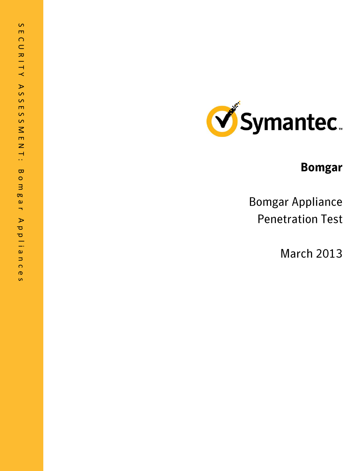

# **Bomgar**

**Bomgar Appliance Penetration Test** 

**March 2013**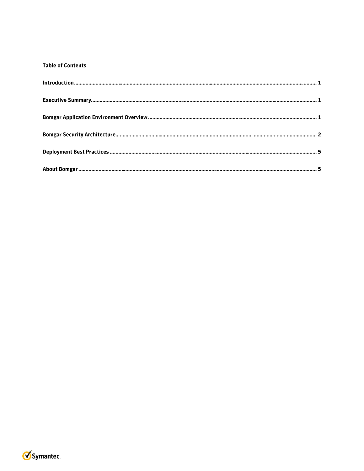## **Table of Contents**

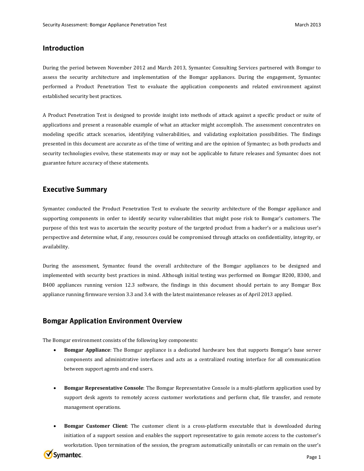## **Introduction**

During the period between November 2012 and March 2013, Symantec Consulting Services partnered with Bomgar to assess the security architecture and implementation of the Bomgar appliances. During the engagement, Symantec performed a Product Penetration Test to evaluate the application components and related environment against established security best practices.

A Product Penetration Test is designed to provide insight into methods of attack against a specific product or suite of applications and present a reasonable example of what an attacker might accomplish. The assessment concentrates on modeling specific attack scenarios, identifying vulnerabilities, and validating exploitation possibilities. The findings presented in this document are accurate as of the time of writing and are the opinion of Symantec; as both products and security technologies evolve, these statements may or may not be applicable to future releases and Symantec does not guarantee future accuracy of these statements.

## **Executive Summary**

Symantec conducted the Product Penetration Test to evaluate the security architecture of the Bomgar appliance and supporting components in order to identify security vulnerabilities that might pose risk to Bomgar's customers. The purpose of this test was to ascertain the security posture of the targeted product from a hacker's or a malicious user's perspective and determine what, if any, resources could be compromised through attacks on confidentiality, integrity, or availability.

During the assessment, Symantec found the overall architecture of the Bomgar appliances to be designed and implemented with security best practices in mind. Although initial testing was performed on Bomgar B200, B300, and B400 appliances running version 12.3 software, the findings in this document should pertain to any Bomgar Box appliance running firmware version 3.3 and 3.4 with the latest maintenance releases as of April 2013 applied.

## **Bomgar Application Environment Overview**

The Bomgar environment consists of the following key components:

- **Bomgar Appliance**: The Bomgar appliance is a dedicated hardware box that supports Bomgar's base server components and administrative interfaces and acts as a centralized routing interface for all communication between support agents and end users.
- **Bomgar Representative Console**: The Bomgar Representative Console is a multi-platform application used by support desk agents to remotely access customer workstations and perform chat, file transfer, and remote management operations.
- **Bomgar Customer Client**: The customer client is a cross-platform executable that is downloaded during initiation of a support session and enables the support representative to gain remote access to the customer's workstation. Upon termination of the session, the program automatically uninstalls or can remain on the user's

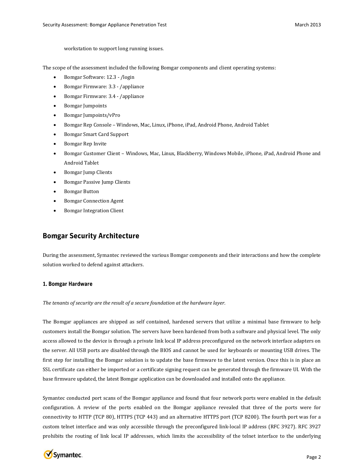workstation to support long running issues.

The scope of the assessment included the following Bomgar components and client operating systems:

- Bomgar Software: 12.3 /login
- Bomgar Firmware: 3.3 /appliance
- Bomgar Firmware: 3.4 /appliance
- Bomgar Jumpoints
- Bomgar Jumpoints/vPro
- Bomgar Rep Console Windows, Mac, Linux, iPhone, iPad, Android Phone, Android Tablet
- Bomgar Smart Card Support
- Bomgar Rep Invite
- Bomgar Customer Client Windows, Mac, Linux, Blackberry, Windows Mobile, iPhone, iPad, Android Phone and Android Tablet
- Bomgar Jump Clients
- Bomgar Passive Jump Clients
- Bomgar Button
- Bomgar Connection Agent
- Bomgar Integration Client

# **Bomgar Security Architecture**

During the assessment, Symantec reviewed the various Bomgar components and their interactions and how the complete solution worked to defend against attackers.

#### 1. Bomgar Hardware

*The tenants of security are the result of a secure foundation at the hardware layer.*

The Bomgar appliances are shipped as self contained, hardened servers that utilize a minimal base firmware to help customers install the Bomgar solution. The servers have been hardened from both a software and physical level. The only access allowed to the device is through a private link local IP address preconfigured on the network interface adapters on the server. All USB ports are disabled through the BIOS and cannot be used for keyboards or mounting USB drives. The first step for installing the Bomgar solution is to update the base firmware to the latest version. Once this is in place an SSL certificate can either be imported or a certificate signing request can be generated through the firmware UI. With the base firmware updated, the latest Bomgar application can be downloaded and installed onto the appliance.

Symantec conducted port scans of the Bomgar appliance and found that four network ports were enabled in the default configuration. A review of the ports enabled on the Bomgar appliance revealed that three of the ports were for connectivity to HTTP (TCP 80), HTTPS (TCP 443) and an alternative HTTPS port (TCP 8200). The fourth port was for a custom telnet interface and was only accessible through the preconfigured link-local IP address [\(RFC 3927\)](http://tools.ietf.org/html/rfc3927). RFC 3927 prohibits the routing of link local IP addresses, which limits the accessibility of the telnet interface to the underlying

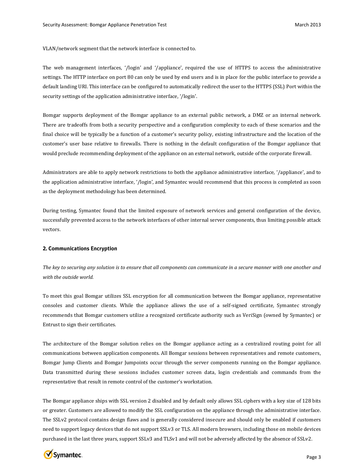VLAN/network segment that the network interface is connected to.

The web management interfaces, '/login' and '/appliance', required the use of HTTPS to access the administrative settings. The HTTP interface on port 80 can only be used by end users and is in place for the public interface to provide a default landing URI. This interface can be configured to automatically redirect the user to the HTTPS (SSL) Port within the security settings of the application administrative interface, '/login'.

Bomgar supports deployment of the Bomgar appliance to an external public network, a DMZ or an internal network. There are tradeoffs from both a security perspective and a configuration complexity to each of these scenarios and the final choice will be typically be a function of a customer's security policy, existing infrastructure and the location of the customer's user base relative to firewalls. There is nothing in the default configuration of the Bomgar appliance that would preclude recommending deployment of the appliance on an external network, outside of the corporate firewall.

Administrators are able to apply network restrictions to both the appliance administrative interface, '/appliance', and to the application administrative interface, '/login', and Symantec would recommend that this process is completed as soon as the deployment methodology has been determined.

During testing, Symantec found that the limited exposure of network services and general configuration of the device, successfully prevented access to the network interfaces of other internal server components, thus limiting possible attack vectors.

#### 2. Communications Encryption

*The key to securing any solution is to ensure that all components can communicate in a secure manner with one another and with the outside world.*

To meet this goal Bomgar utilizes SSL encryption for all communication between the Bomgar appliance, representative consoles and customer clients. While the appliance allows the use of a self-signed certificate, Symantec strongly recommends that Bomgar customers utilize a recognized certificate authority such as VeriSign (owned by Symantec) or Entrust to sign their certificates.

The architecture of the Bomgar solution relies on the Bomgar appliance acting as a centralized routing point for all communications between application components. All Bomgar sessions between representatives and remote customers, Bomgar Jump Clients and Bomgar Jumpoints occur through the server components running on the Bomgar appliance. Data transmitted during these sessions includes customer screen data, login credentials and commands from the representative that result in remote control of the customer's workstation.

The Bomgar appliance ships with SSL version 2 disabled and by default only allows SSL ciphers with a key size of 128 bits or greater. Customers are allowed to modify the SSL configuration on the appliance through the administrative interface. The SSLv2 protocol contains design flaws and is generally considered insecure and should only be enabled if customers need to support legacy devices that do not support SSLv3 or TLS. All modern browsers, including those on mobile devices purchased in the last three years, support SSLv3 and TLSv1 and will not be adversely affected by the absence of SSLv2.

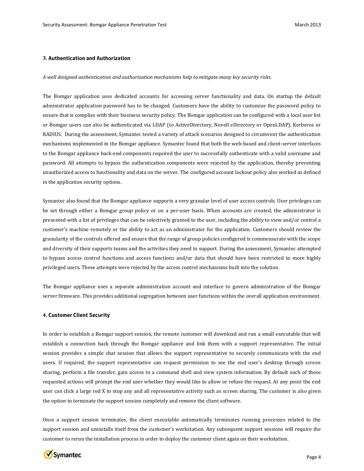#### **3.**

#### *A well designed authentication and authorization mechanisms help to mitigate many key security risks*.

The Bomgar application uses dedicated accounts for accessing server functionality and data. On startup the default administrator application password has to be changed. Customers have the ability to customize the password policy to ensure that is complies with their business security policy. The Bomgar application can be configured with a local user list or Bomgar users can also be authenticated via LDAP (to ActiveDirectory, Novell eDirectory or OpenLDAP), Kerberos or RADIUS. During the assessment, Symantec tested a variety of attack scenarios designed to circumvent the authentication mechanisms implemented in the Bomgar appliance. Symantec found that both the web-based and client-server interfaces to the Bomgar appliance back-end components required the user to successfully authenticate with a valid username and password. All attempts to bypass the authentication components were rejected by the application, thereby preventing unauthorized access to functionality and data on the server. The configured account lockout policy also worked as defined in the application security options.

Symantec also found that the Bomgar appliance supports a very granular level of user access controls. User privileges can be set through either a Bomgar group policy or on a per-user basis. When accounts are created, the administrator is presented with a list of privileges that can be selectively granted to the user, including the ability to view and/or control a customer's machine remotely or the ability to act as an administrator for the application. Customers should review the granularity of the controls offered and ensure that the range of group policies configured is commensurate with the scope and diversity of their supports teams and the activities they need to support. During the assessment, Symantec attempted to bypass access control functions and access functions and/or data that should have been restricted to more highly privileged users. These attempts were rejected by the access control mechanisms built into the solution.

The Bomgar appliance uses a separate administration account and interface to govern administration of the Bomgar server firmware. This provides additional segregation between user functions within the overall application environment.

#### **4.**

In order to establish a Bomgar support session, the remote customer will download and run a small executable that will establish a connection back through the Bomgar appliance and link them with a support representative. The initial session provides a simple chat session that allows the support representative to securely communicate with the end users. If required, the support representative can request permission to see the end user's desktop through screen sharing, perform a file transfer, gain access to a command shell and view system information. By default each of these requested actions will prompt the end user whether they would like to allow or refuse the request. At any point the end user can click a large red X to stop any and all representative activity such as screen sharing. The customer is also given the option to terminate the support session completely and remove the client software.

Once a support session terminates, the client executable automatically terminates running processes related to the support session and uninstalls itself from the customer's workstation. Any subsequent support sessions will require the customer to rerun the installation process in order to deploy the customer client again on their workstation.

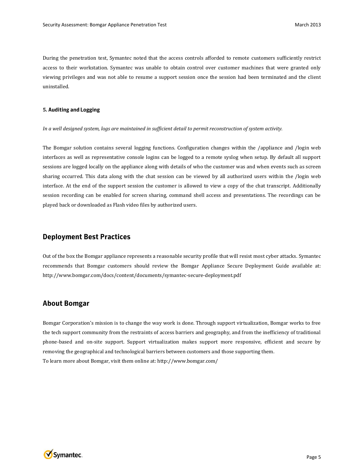During the penetration test, Symantec noted that the access controls afforded to remote customers sufficiently restrict access to their workstation. Symantec was unable to obtain control over customer machines that were granted only viewing privileges and was not able to resume a support session once the session had been terminated and the client uninstalled.

#### **5.**

*In a well designed system, logs are maintained in sufficient detail to permit reconstruction of system activity.*

The Bomgar solution contains several logging functions. Configuration changes within the /appliance and /login web interfaces as well as representative console logins can be logged to a remote syslog when setup. By default all support sessions are logged locally on the appliance along with details of who the customer was and when events such as screen sharing occurred. This data along with the chat session can be viewed by all authorized users within the /login web interface. At the end of the support session the customer is allowed to view a copy of the chat transcript. Additionally session recording can be enabled for screen sharing, command shell access and presentations. The recordings can be played back or downloaded as Flash video files by authorized users.

## **Deployment Best Practices**

Out of the box the Bomgar appliance represents a reasonable security profile that will resist most cyber attacks. Symantec recommends that Bomgar customers should review the Bomgar Appliance Secure Deployment Guide available at: http://www.bomgar.com/docs/content/documents/symantec-secure-deployment.pdf

### **About Bomgar**

Bomgar Corporation's mission is to change the way work is done. Through support virtualization, Bomgar works to free the tech support community from the restraints of access barriers and geography, and from the inefficiency of traditional phone-based and on-site support. Support virtualization makes support more responsive, efficient and secure by removing the geographical and technological barriers between customers and those supporting them. To learn more about Bomgar, visit them online at: http://www.bomgar.com/